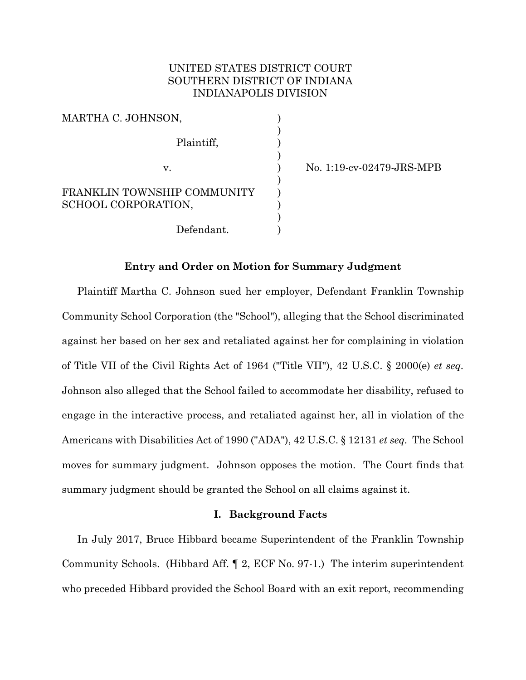# UNITED STATES DISTRICT COURT SOUTHERN DISTRICT OF INDIANA INDIANAPOLIS DIVISION

| MARTHA C. JOHNSON,                                 |  |
|----------------------------------------------------|--|
| Plaintiff,                                         |  |
| $V_{-}$                                            |  |
| FRANKLIN TOWNSHIP COMMUNITY<br>SCHOOL CORPORATION, |  |
| Defendant.                                         |  |

) No. 1:19-cv-02479-JRS-MPB

# **Entry and Order on Motion for Summary Judgment**

Plaintiff Martha C. Johnson sued her employer, Defendant Franklin Township Community School Corporation (the "School"), alleging that the School discriminated against her based on her sex and retaliated against her for complaining in violation of Title VII of the Civil Rights Act of 1964 ("Title VII"), 42 U.S.C. § 2000(e) *et seq.*  Johnson also alleged that the School failed to accommodate her disability, refused to engage in the interactive process, and retaliated against her, all in violation of the Americans with Disabilities Act of 1990 ("ADA"), 42 U.S.C. § 12131 *et seq.* The School moves for summary judgment. Johnson opposes the motion. The Court finds that summary judgment should be granted the School on all claims against it.

### **I. Background Facts**

In July 2017, Bruce Hibbard became Superintendent of the Franklin Township Community Schools. (Hibbard Aff. ¶ 2, ECF No. 97-1.) The interim superintendent who preceded Hibbard provided the School Board with an exit report, recommending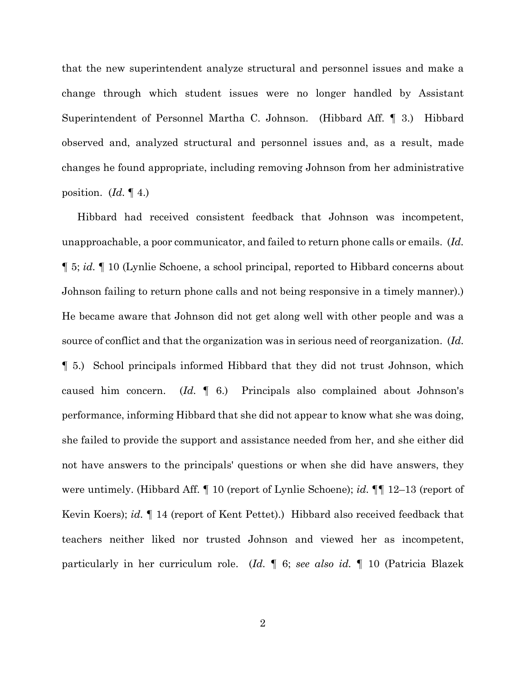that the new superintendent analyze structural and personnel issues and make a change through which student issues were no longer handled by Assistant Superintendent of Personnel Martha C. Johnson. (Hibbard Aff. ¶ 3.) Hibbard observed and, analyzed structural and personnel issues and, as a result, made changes he found appropriate, including removing Johnson from her administrative position. (*Id.* ¶ 4.)

Hibbard had received consistent feedback that Johnson was incompetent, unapproachable, a poor communicator, and failed to return phone calls or emails. (*Id.* ¶ 5; *id.* ¶ 10 (Lynlie Schoene, a school principal, reported to Hibbard concerns about Johnson failing to return phone calls and not being responsive in a timely manner).) He became aware that Johnson did not get along well with other people and was a source of conflict and that the organization was in serious need of reorganization. (*Id.* ¶ 5.) School principals informed Hibbard that they did not trust Johnson, which caused him concern. (*Id.* ¶ 6.) Principals also complained about Johnson's performance, informing Hibbard that she did not appear to know what she was doing, she failed to provide the support and assistance needed from her, and she either did not have answers to the principals' questions or when she did have answers, they were untimely. (Hibbard Aff. ¶ 10 (report of Lynlie Schoene); *id.* ¶¶ 12–13 (report of Kevin Koers); *id.* ¶ 14 (report of Kent Pettet).) Hibbard also received feedback that teachers neither liked nor trusted Johnson and viewed her as incompetent, particularly in her curriculum role. (*Id.* ¶ 6; *see also id.* ¶ 10 (Patricia Blazek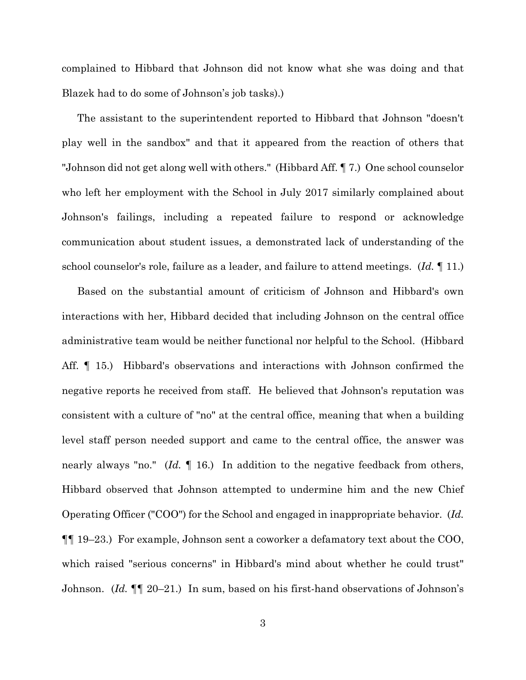complained to Hibbard that Johnson did not know what she was doing and that Blazek had to do some of Johnson's job tasks).)

The assistant to the superintendent reported to Hibbard that Johnson "doesn't play well in the sandbox" and that it appeared from the reaction of others that "Johnson did not get along well with others." (Hibbard Aff. ¶ 7.) One school counselor who left her employment with the School in July 2017 similarly complained about Johnson's failings, including a repeated failure to respond or acknowledge communication about student issues, a demonstrated lack of understanding of the school counselor's role, failure as a leader, and failure to attend meetings. (*Id.* ¶ 11.)

Based on the substantial amount of criticism of Johnson and Hibbard's own interactions with her, Hibbard decided that including Johnson on the central office administrative team would be neither functional nor helpful to the School. (Hibbard Aff. ¶ 15.) Hibbard's observations and interactions with Johnson confirmed the negative reports he received from staff. He believed that Johnson's reputation was consistent with a culture of "no" at the central office, meaning that when a building level staff person needed support and came to the central office, the answer was nearly always "no." (*Id.* ¶ 16.) In addition to the negative feedback from others, Hibbard observed that Johnson attempted to undermine him and the new Chief Operating Officer ("COO") for the School and engaged in inappropriate behavior. (*Id.* ¶¶ 19–23.) For example, Johnson sent a coworker a defamatory text about the COO, which raised "serious concerns" in Hibbard's mind about whether he could trust" Johnson. (*Id.* ¶¶ 20–21.) In sum, based on his first-hand observations of Johnson's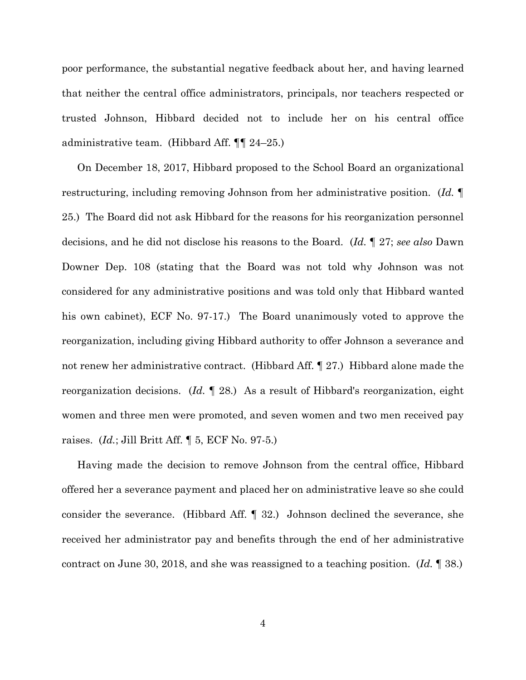poor performance, the substantial negative feedback about her, and having learned that neither the central office administrators, principals, nor teachers respected or trusted Johnson, Hibbard decided not to include her on his central office administrative team. (Hibbard Aff. ¶¶ 24–25.)

On December 18, 2017, Hibbard proposed to the School Board an organizational restructuring, including removing Johnson from her administrative position. (*Id.* ¶ 25.) The Board did not ask Hibbard for the reasons for his reorganization personnel decisions, and he did not disclose his reasons to the Board. (*Id.* ¶ 27; *see also* Dawn Downer Dep. 108 (stating that the Board was not told why Johnson was not considered for any administrative positions and was told only that Hibbard wanted his own cabinet), ECF No. 97-17.) The Board unanimously voted to approve the reorganization, including giving Hibbard authority to offer Johnson a severance and not renew her administrative contract. (Hibbard Aff. ¶ 27.) Hibbard alone made the reorganization decisions. (*Id.* ¶ 28.) As a result of Hibbard's reorganization, eight women and three men were promoted, and seven women and two men received pay raises. (*Id.*; Jill Britt Aff. ¶ 5, ECF No. 97-5.)

Having made the decision to remove Johnson from the central office, Hibbard offered her a severance payment and placed her on administrative leave so she could consider the severance. (Hibbard Aff. ¶ 32.) Johnson declined the severance, she received her administrator pay and benefits through the end of her administrative contract on June 30, 2018, and she was reassigned to a teaching position. (*Id.* ¶ 38.)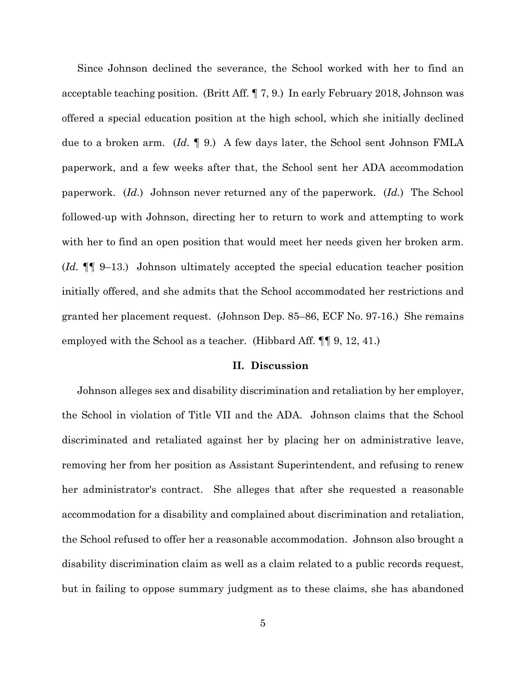Since Johnson declined the severance, the School worked with her to find an acceptable teaching position. (Britt Aff. ¶ 7, 9.) In early February 2018, Johnson was offered a special education position at the high school, which she initially declined due to a broken arm. (*Id.* ¶ 9.) A few days later, the School sent Johnson FMLA paperwork, and a few weeks after that, the School sent her ADA accommodation paperwork. (*Id.*) Johnson never returned any of the paperwork. (*Id.*) The School followed-up with Johnson, directing her to return to work and attempting to work with her to find an open position that would meet her needs given her broken arm. (*Id.* ¶¶ 9–13.) Johnson ultimately accepted the special education teacher position initially offered, and she admits that the School accommodated her restrictions and granted her placement request. (Johnson Dep. 85–86, ECF No. 97-16.) She remains employed with the School as a teacher. (Hibbard Aff. ¶¶ 9, 12, 41.)

### **II. Discussion**

Johnson alleges sex and disability discrimination and retaliation by her employer, the School in violation of Title VII and the ADA. Johnson claims that the School discriminated and retaliated against her by placing her on administrative leave, removing her from her position as Assistant Superintendent, and refusing to renew her administrator's contract. She alleges that after she requested a reasonable accommodation for a disability and complained about discrimination and retaliation, the School refused to offer her a reasonable accommodation. Johnson also brought a disability discrimination claim as well as a claim related to a public records request, but in failing to oppose summary judgment as to these claims, she has abandoned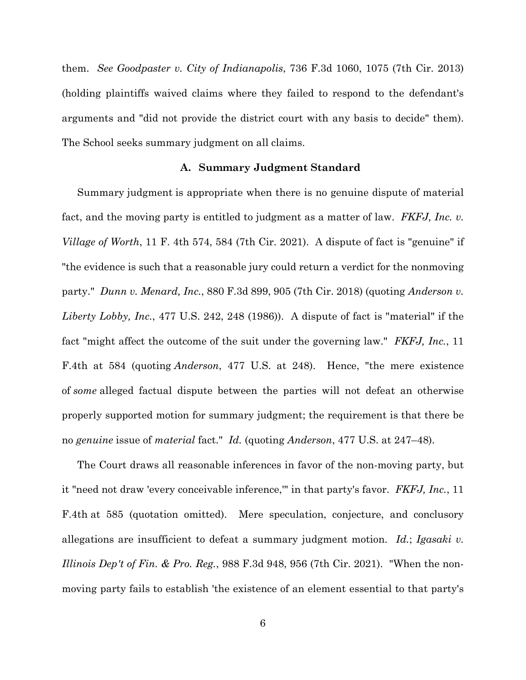them. *See Goodpaster v. City of Indianapolis*, 736 F.3d 1060, 1075 (7th Cir. 2013) (holding plaintiffs waived claims where they failed to respond to the defendant's arguments and "did not provide the district court with any basis to decide" them). The School seeks summary judgment on all claims.

### **A. Summary Judgment Standard**

Summary judgment is appropriate when there is no genuine dispute of material fact, and the moving party is entitled to judgment as a matter of law. *FKFJ, Inc. v. Village of Worth*, 11 F. 4th 574, 584 (7th Cir. 2021). A dispute of fact is "genuine" if "the evidence is such that a reasonable jury could return a verdict for the nonmoving party." *Dunn v. Menard, Inc.*, 880 F.3d 899, 905 (7th Cir. 2018) (quoting *Anderson v. Liberty Lobby, Inc.*, 477 U.S. 242, 248 (1986)). A dispute of fact is "material" if the fact "might affect the outcome of the suit under the governing law." *FKFJ, Inc.*, 11 F.4th at 584 (quoting *Anderson*, 477 U.S. at 248). Hence, "the mere existence of *some* alleged factual dispute between the parties will not defeat an otherwise properly supported motion for summary judgment; the requirement is that there be no *genuine* issue of *material* fact." *Id.* (quoting *Anderson*, 477 U.S. at 247–48).

The Court draws all reasonable inferences in favor of the non-moving party, but it "need not draw 'every conceivable inference,'" in that party's favor. *FKFJ, Inc.*, 11 F.4th at 585 (quotation omitted). Mere speculation, conjecture, and conclusory allegations are insufficient to defeat a summary judgment motion. *Id.*; *Igasaki v. Illinois Dep't of Fin. & Pro. Reg.*, 988 F.3d 948, 956 (7th Cir. 2021). "When the nonmoving party fails to establish 'the existence of an element essential to that party's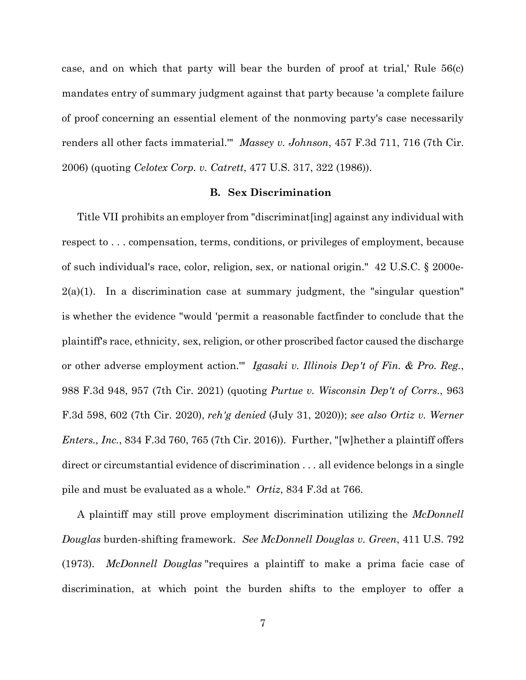case, and on which that party will bear the burden of proof at trial,' Rule 56(c) mandates entry of summary judgment against that party because 'a complete failure of proof concerning an essential element of the nonmoving party's case necessarily renders all other facts immaterial.'" *Massey v. Johnson*, 457 F.3d 711, 716 (7th Cir. 2006) (quoting *Celotex Corp. v. Catrett*, 477 U.S. 317, 322 (1986)).

#### **B. Sex Discrimination**

Title VII prohibits an employer from "discriminat[ing] against any individual with respect to . . . compensation, terms, conditions, or privileges of employment, because of such individual's race, color, religion, sex, or national origin." 42 U.S.C. § 2000e- $2(a)(1)$ . In a discrimination case at summary judgment, the "singular question" is whether the evidence "would 'permit a reasonable factfinder to conclude that the plaintiff's race, ethnicity, sex, religion, or other proscribed factor caused the discharge or other adverse employment action.'" *Igasaki v. Illinois Dep't of Fin. & Pro. Reg.*, 988 F.3d 948, 957 (7th Cir. 2021) (quoting *Purtue v. Wisconsin Dep't of Corrs.*, 963 F.3d 598, 602 (7th Cir. 2020), *reh'g denied* (July 31, 2020)); *see also Ortiz v. Werner Enters., Inc.*, 834 F.3d 760, 765 (7th Cir. 2016)). Further, "[w]hether a plaintiff offers direct or circumstantial evidence of discrimination . . . all evidence belongs in a single pile and must be evaluated as a whole." *Ortiz*, 834 F.3d at 766.

A plaintiff may still prove employment discrimination utilizing the *McDonnell Douglas* burden-shifting framework. *See McDonnell Douglas v. Green*, 411 U.S. 792 (1973). *McDonnell Douglas* "requires a plaintiff to make a prima facie case of discrimination, at which point the burden shifts to the employer to offer a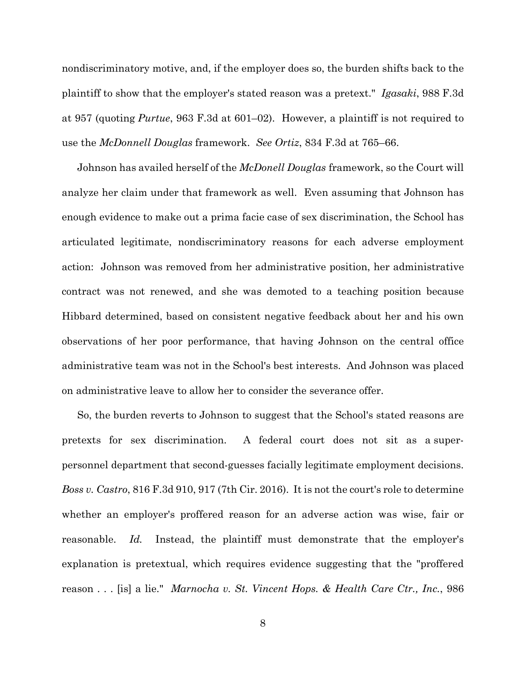nondiscriminatory motive, and, if the employer does so, the burden shifts back to the plaintiff to show that the employer's stated reason was a pretext." *Igasaki*, 988 F.3d at 957 (quoting *Purtue*, 963 F.3d at 601–02). However, a plaintiff is not required to use the *McDonnell Douglas* framework. *See Ortiz*, 834 F.3d at 765–66.

Johnson has availed herself of the *McDonell Douglas* framework, so the Court will analyze her claim under that framework as well. Even assuming that Johnson has enough evidence to make out a prima facie case of sex discrimination, the School has articulated legitimate, nondiscriminatory reasons for each adverse employment action: Johnson was removed from her administrative position, her administrative contract was not renewed, and she was demoted to a teaching position because Hibbard determined, based on consistent negative feedback about her and his own observations of her poor performance, that having Johnson on the central office administrative team was not in the School's best interests. And Johnson was placed on administrative leave to allow her to consider the severance offer.

So, the burden reverts to Johnson to suggest that the School's stated reasons are pretexts for sex discrimination. A federal court does not sit as a superpersonnel department that second-guesses facially legitimate employment decisions. *Boss v. Castro*, 816 F.3d 910, 917 (7th Cir. 2016). It is not the court's role to determine whether an employer's proffered reason for an adverse action was wise, fair or reasonable. *Id.* Instead, the plaintiff must demonstrate that the employer's explanation is pretextual, which requires evidence suggesting that the "proffered reason . . . [is] a lie." *Marnocha v. St. Vincent Hops. & Health Care Ctr., Inc.*, 986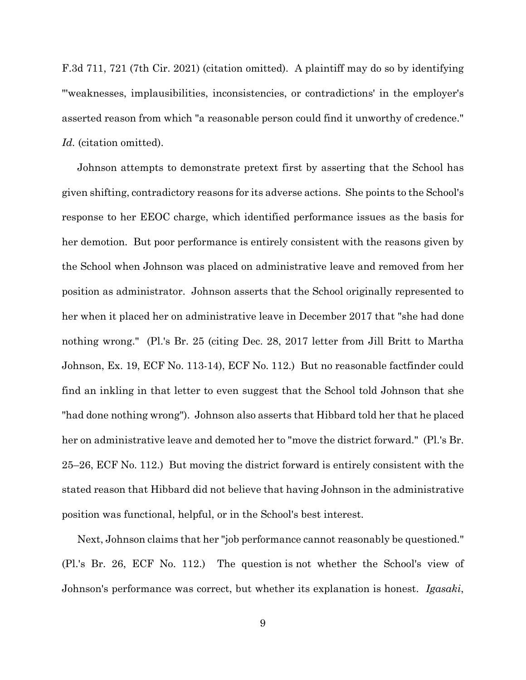F.3d 711, 721 (7th Cir. 2021) (citation omitted). A plaintiff may do so by identifying "'weaknesses, implausibilities, inconsistencies, or contradictions' in the employer's asserted reason from which "a reasonable person could find it unworthy of credence." *Id.* (citation omitted).

Johnson attempts to demonstrate pretext first by asserting that the School has given shifting, contradictory reasons for its adverse actions. She points to the School's response to her EEOC charge, which identified performance issues as the basis for her demotion. But poor performance is entirely consistent with the reasons given by the School when Johnson was placed on administrative leave and removed from her position as administrator. Johnson asserts that the School originally represented to her when it placed her on administrative leave in December 2017 that "she had done nothing wrong." (Pl.'s Br. 25 (citing Dec. 28, 2017 letter from Jill Britt to Martha Johnson, Ex. 19, ECF No. 113-14), ECF No. 112.) But no reasonable factfinder could find an inkling in that letter to even suggest that the School told Johnson that she "had done nothing wrong"). Johnson also asserts that Hibbard told her that he placed her on administrative leave and demoted her to "move the district forward." (Pl.'s Br. 25–26, ECF No. 112.) But moving the district forward is entirely consistent with the stated reason that Hibbard did not believe that having Johnson in the administrative position was functional, helpful, or in the School's best interest.

Next, Johnson claims that her "job performance cannot reasonably be questioned." (Pl.'s Br. 26, ECF No. 112.) The question is not whether the School's view of Johnson's performance was correct, but whether its explanation is honest. *Igasaki*,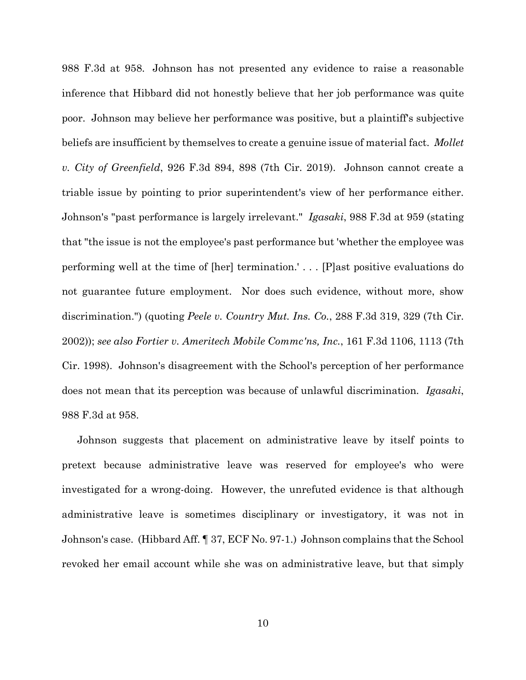988 F.3d at 958. Johnson has not presented any evidence to raise a reasonable inference that Hibbard did not honestly believe that her job performance was quite poor. Johnson may believe her performance was positive, but a plaintiff's subjective beliefs are insufficient by themselves to create a genuine issue of material fact. *Mollet v. City of Greenfield*, 926 F.3d 894, 898 (7th Cir. 2019). Johnson cannot create a triable issue by pointing to prior superintendent's view of her performance either. Johnson's "past performance is largely irrelevant." *Igasaki*, 988 F.3d at 959 (stating that "the issue is not the employee's past performance but 'whether the employee was performing well at the time of [her] termination.' . . . [P]ast positive evaluations do not guarantee future employment. Nor does such evidence, without more, show discrimination.") (quoting *Peele v. Country Mut. Ins. Co.*, 288 F.3d 319, 329 (7th Cir. 2002)); *see also Fortier v. Ameritech Mobile Commc'ns, Inc.*, 161 F.3d 1106, 1113 (7th Cir. 1998). Johnson's disagreement with the School's perception of her performance does not mean that its perception was because of unlawful discrimination. *Igasaki*, 988 F.3d at 958.

Johnson suggests that placement on administrative leave by itself points to pretext because administrative leave was reserved for employee's who were investigated for a wrong-doing. However, the unrefuted evidence is that although administrative leave is sometimes disciplinary or investigatory, it was not in Johnson's case. (Hibbard Aff. ¶ 37, ECF No. 97-1.) Johnson complains that the School revoked her email account while she was on administrative leave, but that simply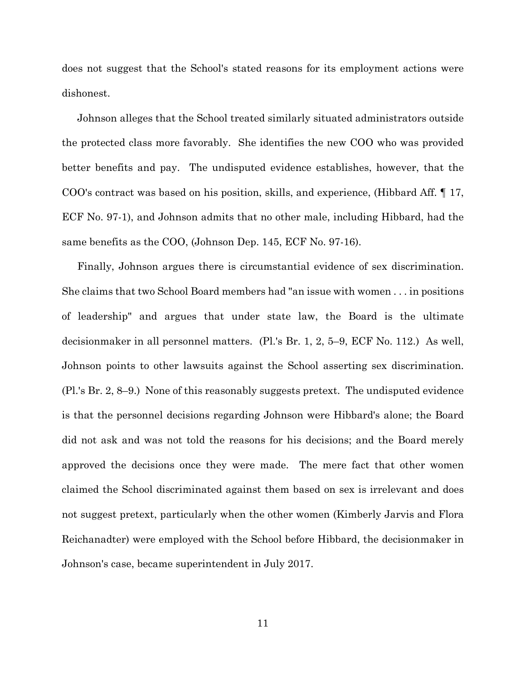does not suggest that the School's stated reasons for its employment actions were dishonest.

Johnson alleges that the School treated similarly situated administrators outside the protected class more favorably. She identifies the new COO who was provided better benefits and pay. The undisputed evidence establishes, however, that the COO's contract was based on his position, skills, and experience, (Hibbard Aff. ¶ 17, ECF No. 97-1), and Johnson admits that no other male, including Hibbard, had the same benefits as the COO, (Johnson Dep. 145, ECF No. 97-16).

Finally, Johnson argues there is circumstantial evidence of sex discrimination. She claims that two School Board members had "an issue with women . . . in positions of leadership" and argues that under state law, the Board is the ultimate decisionmaker in all personnel matters. (Pl.'s Br. 1, 2, 5–9, ECF No. 112.) As well, Johnson points to other lawsuits against the School asserting sex discrimination. (Pl.'s Br. 2, 8–9.) None of this reasonably suggests pretext. The undisputed evidence is that the personnel decisions regarding Johnson were Hibbard's alone; the Board did not ask and was not told the reasons for his decisions; and the Board merely approved the decisions once they were made. The mere fact that other women claimed the School discriminated against them based on sex is irrelevant and does not suggest pretext, particularly when the other women (Kimberly Jarvis and Flora Reichanadter) were employed with the School before Hibbard, the decisionmaker in Johnson's case, became superintendent in July 2017.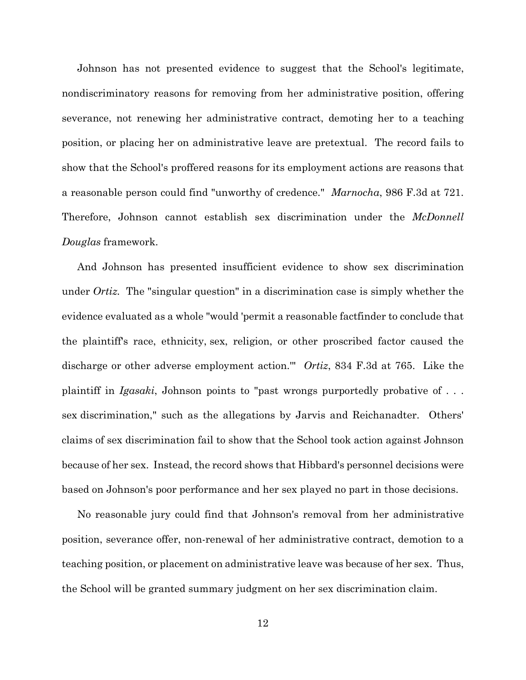Johnson has not presented evidence to suggest that the School's legitimate, nondiscriminatory reasons for removing from her administrative position, offering severance, not renewing her administrative contract, demoting her to a teaching position, or placing her on administrative leave are pretextual. The record fails to show that the School's proffered reasons for its employment actions are reasons that a reasonable person could find "unworthy of credence." *Marnocha*, 986 F.3d at 721. Therefore, Johnson cannot establish sex discrimination under the *McDonnell Douglas* framework.

And Johnson has presented insufficient evidence to show sex discrimination under *Ortiz.* The "singular question" in a discrimination case is simply whether the evidence evaluated as a whole "would 'permit a reasonable factfinder to conclude that the plaintiff's race, ethnicity, sex, religion, or other proscribed factor caused the discharge or other adverse employment action.'" *Ortiz*, 834 F.3d at 765. Like the plaintiff in *Igasaki*, Johnson points to "past wrongs purportedly probative of . . . sex discrimination," such as the allegations by Jarvis and Reichanadter. Others' claims of sex discrimination fail to show that the School took action against Johnson because of her sex. Instead, the record shows that Hibbard's personnel decisions were based on Johnson's poor performance and her sex played no part in those decisions.

No reasonable jury could find that Johnson's removal from her administrative position, severance offer, non-renewal of her administrative contract, demotion to a teaching position, or placement on administrative leave was because of her sex. Thus, the School will be granted summary judgment on her sex discrimination claim.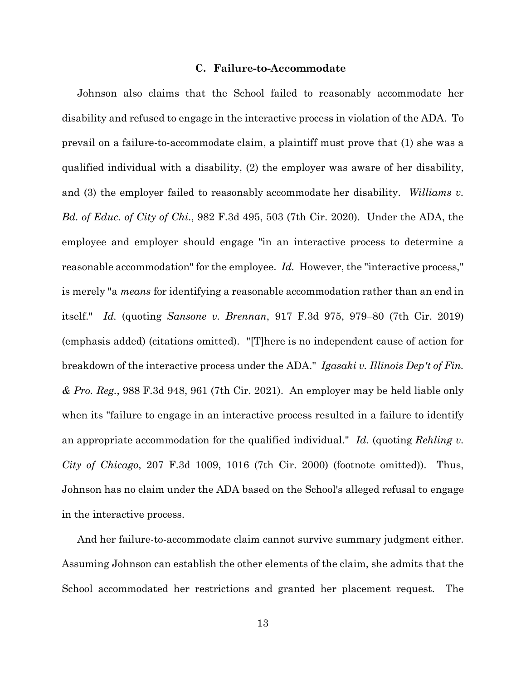# **C. Failure-to-Accommodate**

Johnson also claims that the School failed to reasonably accommodate her disability and refused to engage in the interactive process in violation of the ADA. To prevail on a failure-to-accommodate claim, a plaintiff must prove that (1) she was a qualified individual with a disability, (2) the employer was aware of her disability, and (3) the employer failed to reasonably accommodate her disability. *Williams v. Bd. of Educ. of City of Chi*., 982 F.3d 495, 503 (7th Cir. 2020). Under the ADA, the employee and employer should engage "in an interactive process to determine a reasonable accommodation" for the employee. *Id.* However, the "interactive process," is merely "a *means* for identifying a reasonable accommodation rather than an end in itself." *Id.* (quoting *Sansone v. Brennan*, 917 F.3d 975, 979–80 (7th Cir. 2019) (emphasis added) (citations omitted). "[T]here is no independent cause of action for breakdown of the interactive process under the ADA." *Igasaki v. Illinois Dep't of Fin. & Pro. Reg.*, 988 F.3d 948, 961 (7th Cir. 2021). An employer may be held liable only when its "failure to engage in an interactive process resulted in a failure to identify an appropriate accommodation for the qualified individual." *Id.* (quoting *Rehling v. City of Chicago*, 207 F.3d 1009, 1016 (7th Cir. 2000) (footnote omitted)). Thus, Johnson has no claim under the ADA based on the School's alleged refusal to engage in the interactive process.

And her failure-to-accommodate claim cannot survive summary judgment either. Assuming Johnson can establish the other elements of the claim, she admits that the School accommodated her restrictions and granted her placement request. The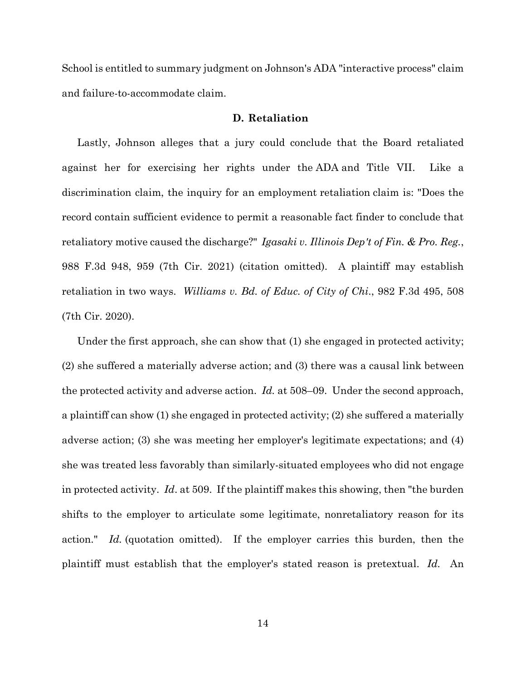School is entitled to summary judgment on Johnson's ADA "interactive process" claim and failure-to-accommodate claim.

# **D. Retaliation**

Lastly, Johnson alleges that a jury could conclude that the Board retaliated against her for exercising her rights under the ADA and Title VII. Like a discrimination claim, the inquiry for an employment retaliation claim is: "Does the record contain sufficient evidence to permit a reasonable fact finder to conclude that retaliatory motive caused the discharge?" *Igasaki v. Illinois Dep't of Fin. & Pro. Reg.*, 988 F.3d 948, 959 (7th Cir. 2021) (citation omitted). A plaintiff may establish retaliation in two ways. *Williams v. Bd. of Educ. of City of Chi*., 982 F.3d 495, 508 (7th Cir. 2020).

Under the first approach, she can show that (1) she engaged in protected activity; (2) she suffered a materially adverse action; and (3) there was a causal link between the protected activity and adverse action. *Id.* at 508–09. Under the second approach, a plaintiff can show (1) she engaged in protected activity; (2) she suffered a materially adverse action; (3) she was meeting her employer's legitimate expectations; and (4) she was treated less favorably than similarly-situated employees who did not engage in protected activity. *Id*. at 509. If the plaintiff makes this showing, then "the burden shifts to the employer to articulate some legitimate, nonretaliatory reason for its action." *Id.* (quotation omitted). If the employer carries this burden, then the plaintiff must establish that the employer's stated reason is pretextual. *Id.* An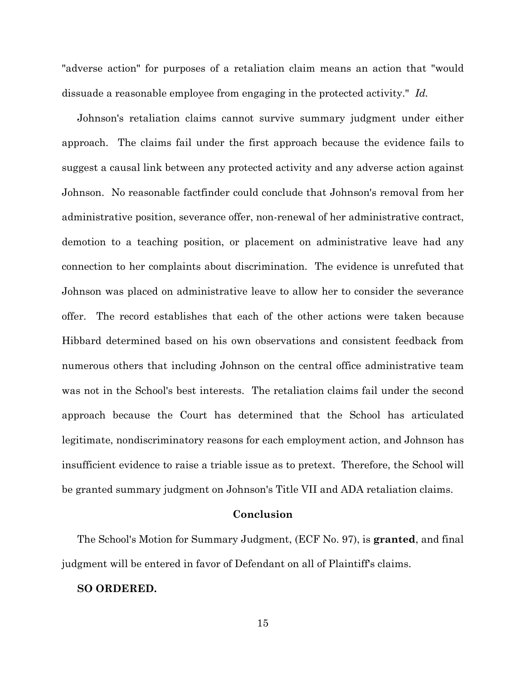"adverse action" for purposes of a retaliation claim means an action that "would dissuade a reasonable employee from engaging in the protected activity." *Id.*

Johnson's retaliation claims cannot survive summary judgment under either approach. The claims fail under the first approach because the evidence fails to suggest a causal link between any protected activity and any adverse action against Johnson. No reasonable factfinder could conclude that Johnson's removal from her administrative position, severance offer, non-renewal of her administrative contract, demotion to a teaching position, or placement on administrative leave had any connection to her complaints about discrimination. The evidence is unrefuted that Johnson was placed on administrative leave to allow her to consider the severance offer. The record establishes that each of the other actions were taken because Hibbard determined based on his own observations and consistent feedback from numerous others that including Johnson on the central office administrative team was not in the School's best interests. The retaliation claims fail under the second approach because the Court has determined that the School has articulated legitimate, nondiscriminatory reasons for each employment action, and Johnson has insufficient evidence to raise a triable issue as to pretext. Therefore, the School will be granted summary judgment on Johnson's Title VII and ADA retaliation claims.

## **Conclusion**

The School's Motion for Summary Judgment, (ECF No. 97), is **granted**, and final judgment will be entered in favor of Defendant on all of Plaintiff's claims.

## **SO ORDERED.**